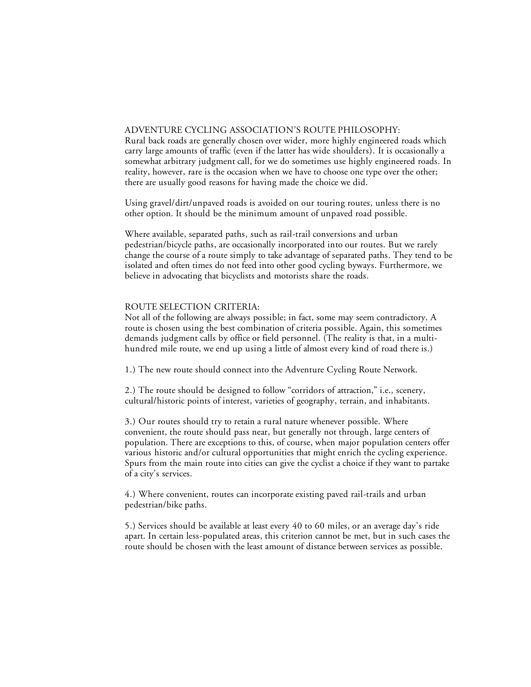## ADVENTURE CYCLING ASSOCIATION'S ROUTE PHILOSOPHY:

Rural back roads are generally chosen over wider, more highly engineered roads which carry large amounts of traffic (even if the latter has wide shoulders). It is occasionally a somewhat arbitrary judgment call, for we do sometimes use highly engineered roads. In reality, however, rare is the occasion when we have to choose one type over the other; there are usually good reasons for having made the choice we did.

Using gravel/dirt/unpaved roads is avoided on our touring routes, unless there is no other option. It should be the minimum amount of unpaved road possible.

Where available, separated paths, such as rail-trail conversions and urban pedestrian/bicycle paths, are occasionally incorporated into our routes. But we rarely change the course of a route simply to take advantage of separated paths. They tend to be isolated and often times do not feed into other good cycling byways. Furthermore, we believe in advocating that bicyclists and motorists share the roads.

## ROUTE SELECTION CRITERIA:

Not all of the following are always possible; in fact, some may seem contradictory. A route is chosen using the best combination of criteria possible. Again, this sometimes demands judgment calls by office or field personnel. (The reality is that, in a multihundred mile route, we end up using a little of almost every kind of road there is.)

1.) The new route should connect into the Adventure Cycling Route Network.

2.) The route should be designed to follow "corridors of attraction," i.e., scenery, cultural/historic points of interest, varieties of geography, terrain, and inhabitants.

3.) Our routes should try to retain a rural nature whenever possible. Where convenient, the route should pass near, but generally not through, large centers of population. There are exceptions to this, of course, when major population centers offer various historic and/or cultural opportunities that might enrich the cycling experience. Spurs from the main route into cities can give the cyclist a choice if they want to partake of a city's services.

4.) Where convenient, routes can incorporate existing paved rail-trails and urban pedestrian/bike paths.

5.) Services should be available at least every 40 to 60 miles, or an average day's ride apart. In certain less-populated areas, this criterion cannot be met, but in such cases the route should be chosen with the least amount of distance between services as possible.